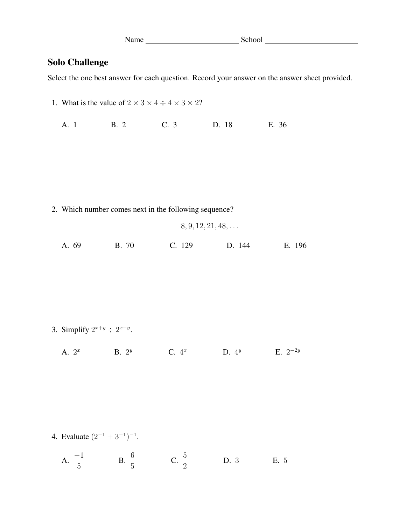| Name | School |
|------|--------|
|      |        |

## Solo Challenge

Select the one best answer for each question. Record your answer on the answer sheet provided.

| 1. What is the value of $2 \times 3 \times 4 \div 4 \times 3 \times 2$ ? |                         |                                                       |                            |              |  |
|--------------------------------------------------------------------------|-------------------------|-------------------------------------------------------|----------------------------|--------------|--|
| A. 1                                                                     | <b>B.</b> 2             | C. 3                                                  | D. 18                      | E. 36        |  |
|                                                                          |                         |                                                       |                            |              |  |
|                                                                          |                         |                                                       |                            |              |  |
|                                                                          |                         | 2. Which number comes next in the following sequence? |                            |              |  |
|                                                                          |                         |                                                       | $8, 9, 12, 21, 48, \ldots$ |              |  |
| A. 69                                                                    | B. 70                   | C. 129                                                | D. 144                     | E. 196       |  |
|                                                                          |                         |                                                       |                            |              |  |
|                                                                          |                         |                                                       |                            |              |  |
|                                                                          |                         |                                                       |                            |              |  |
| 3. Simplify $2^{x+y} \div 2^{x-y}$ .                                     |                         |                                                       |                            |              |  |
| A. $2^x$                                                                 | B. $2^y$                | C. 4 <sup>x</sup>                                     | D. $4^y$                   | E. $2^{-2y}$ |  |
|                                                                          |                         |                                                       |                            |              |  |
|                                                                          |                         |                                                       |                            |              |  |
|                                                                          |                         |                                                       |                            |              |  |
| 4. Evaluate $(2^{-1} + 3^{-1})^{-1}$ .                                   |                         |                                                       |                            |              |  |
| A. $\frac{-1}{5}$                                                        | <b>B.</b> $\frac{6}{5}$ | C. $\frac{5}{2}$                                      | D. 3                       | E. 5         |  |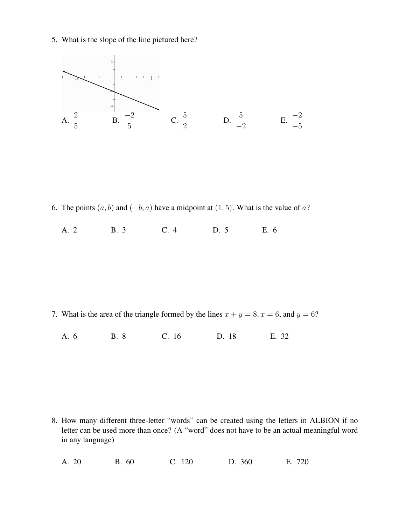5. What is the slope of the line pictured here?



6. The points  $(a, b)$  and  $(-b, a)$  have a midpoint at  $(1, 5)$ . What is the value of a?

A. 2 B. 3 C. 4 D. 5 E. 6

7. What is the area of the triangle formed by the lines  $x + y = 8$ ,  $x = 6$ , and  $y = 6$ ?

A. 6 B. 8 C. 16 D. 18 E. 32

8. How many different three-letter "words" can be created using the letters in ALBION if no letter can be used more than once? (A "word" does not have to be an actual meaningful word in any language)

A. 20 B. 60 C. 120 D. 360 E. 720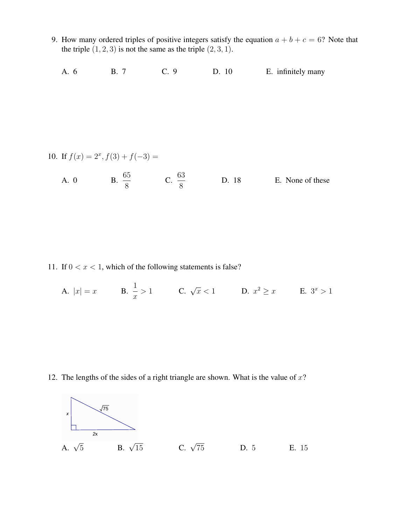9. How many ordered triples of positive integers satisfy the equation  $a + b + c = 6$ ? Note that the triple  $(1, 2, 3)$  is not the same as the triple  $(2, 3, 1)$ .

A. 6 B. 7 C. 9 D. 10 E. infinitely many

10. If 
$$
f(x) = 2^x
$$
,  $f(3) + f(-3) =$   
A. 0  
B.  $\frac{65}{8}$   
C.  $\frac{63}{8}$   
D. 18  
E. None of these

11. If  $0 < x < 1$ , which of the following statements is false?

8

A. 
$$
|x| = x
$$
 B.  $\frac{1}{x} > 1$  C.  $\sqrt{x} < 1$  D.  $x^2 \ge x$  E.  $3^x > 1$ 

12. The lengths of the sides of a right triangle are shown. What is the value of  $x$ ?

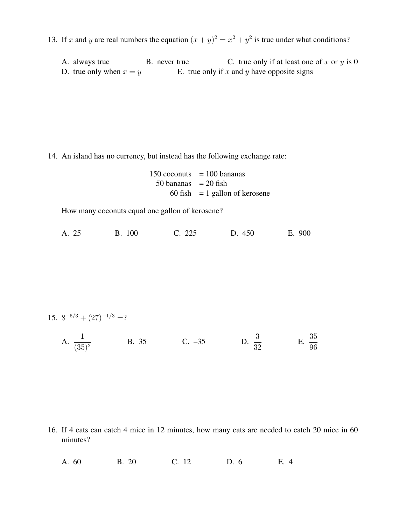13. If x and y are real numbers the equation  $(x + y)^2 = x^2 + y^2$  is true under what conditions?

A. always true B. never true C. true only if at least one of x or y is 0 D. true only when  $x = y$  E. true only if x and y have opposite signs

14. An island has no currency, but instead has the following exchange rate:

 $150$  coconuts = 100 bananas  $50$  bananas = 20 fish 60 fish  $= 1$  gallon of kerosene

How many coconuts equal one gallon of kerosene?

| <b>B.</b> 100<br>A. 25 | C. 225 | D. 450 | E. 900 |
|------------------------|--------|--------|--------|
|------------------------|--------|--------|--------|

15. 
$$
8^{-5/3} + (27)^{-1/3} = ?
$$

A. 1  $(35)^2$ B. 35 C. –35 D.  $\frac{3}{32}$  E. 35 96

16. If 4 cats can catch 4 mice in 12 minutes, how many cats are needed to catch 20 mice in 60 minutes?

A. 60 B. 20 C. 12 D. 6 E. 4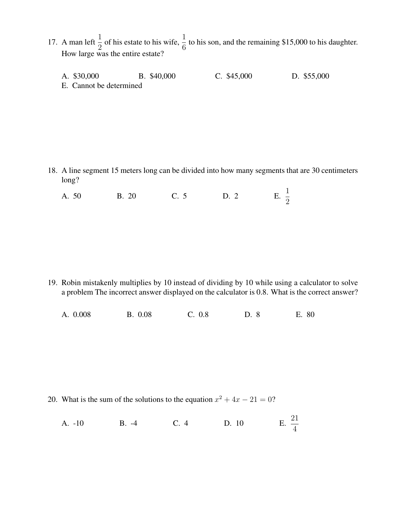- 17. A man left  $\frac{1}{2}$  of his estate to his wife,  $\frac{1}{6}$  to his son, and the remaining \$15,000 to his daughter. How large was the entire estate?
	- A. \$30,000 B. \$40,000 C. \$45,000 D. \$55,000
	- E. Cannot be determined

18. A line segment 15 meters long can be divided into how many segments that are 30 centimeters long?

A. 50 B. 20 C. 5 D. 2 E.  $\frac{1}{2}$ E.  $\frac{1}{2}$ 

19. Robin mistakenly multiplies by 10 instead of dividing by 10 while using a calculator to solve a problem The incorrect answer displayed on the calculator is 0.8. What is the correct answer?

A. 0.008 B. 0.08 C. 0.8 D. 8 E. 80

20. What is the sum of the solutions to the equation  $x^2 + 4x - 21 = 0$ ?

A. -10 B. -4 C. 4 D. 10 21 4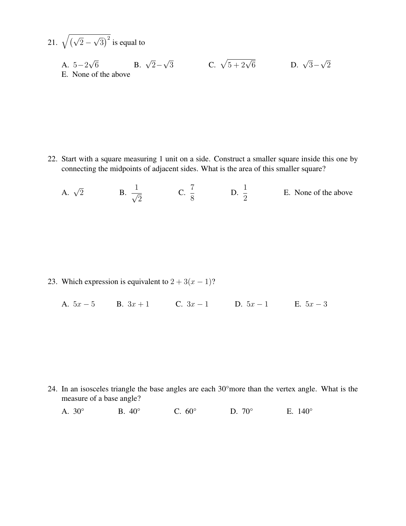21. 
$$
\sqrt{(\sqrt{2}-\sqrt{3})^2}
$$
 is equal to  
A.  $5-2\sqrt{6}$  B.  $\sqrt{2}-\sqrt{3}$  C.  $\sqrt{5+2\sqrt{6}}$  D.  $\sqrt{3}-\sqrt{2}$   
E. None of the above

22. Start with a square measuring 1 unit on a side. Construct a smaller square inside this one by connecting the midpoints of adjacent sides. What is the area of this smaller square?

A.  $\sqrt{2}$ 2 B.  $\frac{1}{\sqrt{2}}$ 2 C. 7  $\frac{1}{8}$  D. 1  $\frac{1}{2}$  E. None of the above

23. Which expression is equivalent to  $2 + 3(x - 1)$ ?

A.  $5x - 5$  B.  $3x + 1$  C.  $3x - 1$  D.  $5x - 1$  E.  $5x - 3$ 

24. In an isosceles triangle the base angles are each 30°more than the vertex angle. What is the measure of a base angle?

A. 30° B. 40° C. 60° D. 70° E. 140°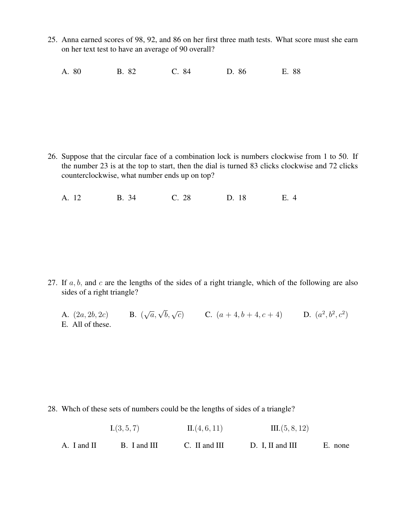- 25. Anna earned scores of 98, 92, and 86 on her first three math tests. What score must she earn on her text test to have an average of 90 overall?
	- A. 80 B. 82 C. 84 D. 86 E. 88

26. Suppose that the circular face of a combination lock is numbers clockwise from 1 to 50. If the number 23 is at the top to start, then the dial is turned 83 clicks clockwise and 72 clicks counterclockwise, what number ends up on top?

A. 12 B. 34 C. 28 D. 18 E. 4

27. If  $a, b$ , and  $c$  are the lengths of the sides of a right triangle, which of the following are also sides of a right triangle?

A.  $(2a, 2b, 2c)$  $\sqrt{a}, \sqrt{b}, \sqrt{c}$  C.  $(a+4, b+4, c+4)$  D.  $(a^2, b^2, c^2)$ E. All of these.

28. Whch of these sets of numbers could be the lengths of sides of a triangle?

I. $(3, 5, 7)$  II. $(4, 6, 11)$  III. $(5, 8, 12)$ 

A. I and II B. I and III C. II and III D. I, II and III E. none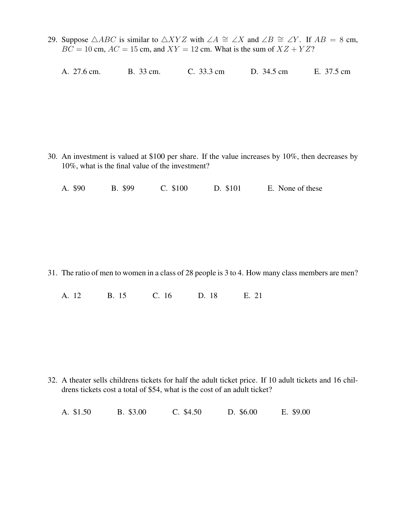- 29. Suppose  $\triangle ABC$  is similar to  $\triangle XYZ$  with  $\angle A \cong \angle X$  and  $\angle B \cong \angle Y$ . If  $AB = 8$  cm,  $BC = 10$  cm,  $AC = 15$  cm, and  $XY = 12$  cm. What is the sum of  $XZ + YZ$ ?
	- A. 27.6 cm. B. 33 cm. C. 33.3 cm D. 34.5 cm E. 37.5 cm

30. An investment is valued at \$100 per share. If the value increases by 10%, then decreases by 10%, what is the final value of the investment?

A. \$90 B. \$99 C. \$100 D. \$101 E. None of these

31. The ratio of men to women in a class of 28 people is 3 to 4. How many class members are men?

A. 12 B. 15 C. 16 D. 18 E. 21

32. A theater sells childrens tickets for half the adult ticket price. If 10 adult tickets and 16 childrens tickets cost a total of \$54, what is the cost of an adult ticket?

A. \$1.50 B. \$3.00 C. \$4.50 D. \$6.00 E. \$9.00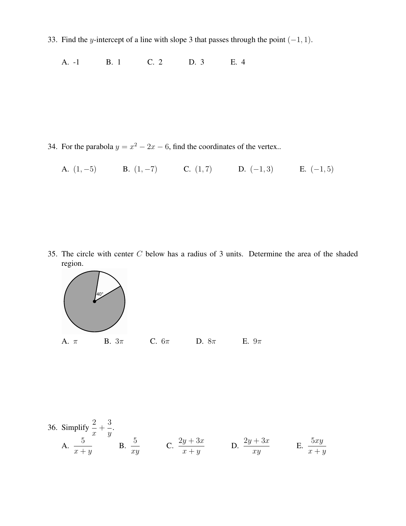33. Find the y-intercept of a line with slope 3 that passes through the point  $(-1, 1)$ .

A. -1 B. 1 C. 2 D. 3 E. 4

34. For the parabola  $y = x^2 - 2x - 6$ , find the coordinates of the vertex..

A. 
$$
(1, -5)
$$
 B.  $(1, -7)$  C.  $(1, 7)$  D.  $(-1, 3)$  E.  $(-1, 5)$ 

35. The circle with center C below has a radius of 3 units. Determine the area of the shaded region.



36. Simplify 
$$
\frac{2}{x} + \frac{3}{y}
$$
.  
\nA.  $\frac{5}{x+y}$  \nB.  $\frac{5}{xy}$  \nC.  $\frac{2y+3x}{x+y}$  \nD.  $\frac{2y+3x}{xy}$  \nE.  $\frac{5xy}{x+y}$